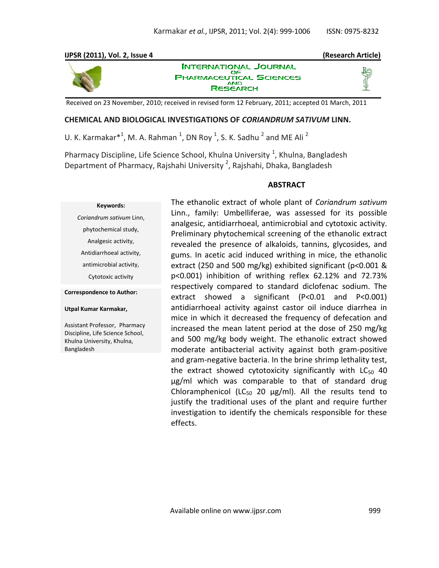## **IJPSR (2011), Vol. 2, Issue 4 (Research Article)**



**INTERNATIONAL JOURNAL** OF **PHARMACEUTICAL SCIENCES RESEARCH** 

Received on 23 November, 2010; received in revised form 12 February, 2011; accepted 01 March, 2011

## **CHEMICAL AND BIOLOGICAL INVESTIGATIONS OF** *CORIANDRUM SATIVUM* **LINN.**

U. K. Karmakar $*^1$ , M. A. Rahman  $^1$ , DN Roy  $^1$ , S. K. Sadhu  $^2$  and ME Ali  $^2$ 

Pharmacy Discipline, Life Science School, Khulna University <sup>1</sup>, Khulna, Bangladesh Department of Pharmacy, Rajshahi University  $^2$ , Rajshahi, Dhaka, Bangladesh

## **ABSTRACT**

#### **Keywords:**

*Coriandrum sativum* Linn, phytochemical study, Analgesic activity, Antidiarrhoeal activity, antimicrobial activity, Cytotoxic activity

**Correspondence to Author:**

#### **Utpal Kumar Karmakar,**

Assistant Professor, Pharmacy Discipline, Life Science School, Khulna University, Khulna, Bangladesh

The ethanolic extract of whole plant of *Coriandrum sativum*  Linn., family: Umbelliferae, was assessed for its possible analgesic, antidiarrhoeal, antimicrobial and cytotoxic activity. Preliminary phytochemical screening of the ethanolic extract revealed the presence of alkaloids, tannins, glycosides, and gums. In acetic acid induced writhing in mice, the ethanolic extract (250 and 500 mg/kg) exhibited significant (p<0.001 & p<0.001) inhibition of writhing reflex 62.12% and 72.73% respectively compared to standard diclofenac sodium. The extract showed a significant (P<0.01 and P<0.001) antidiarrhoeal activity against castor oil induce diarrhea in mice in which it decreased the frequency of defecation and increased the mean latent period at the dose of 250 mg/kg and 500 mg/kg body weight. The ethanolic extract showed moderate antibacterial activity against both gram-positive and gram-negative bacteria. In the brine shrimp lethality test, the extract showed cytotoxicity significantly with  $LC_{50}$  40 μg/ml which was comparable to that of standard drug Chloramphenicol (LC<sub>50</sub> 20  $\mu$ g/ml). All the results tend to justify the traditional uses of the plant and require further investigation to identify the chemicals responsible for these effects.

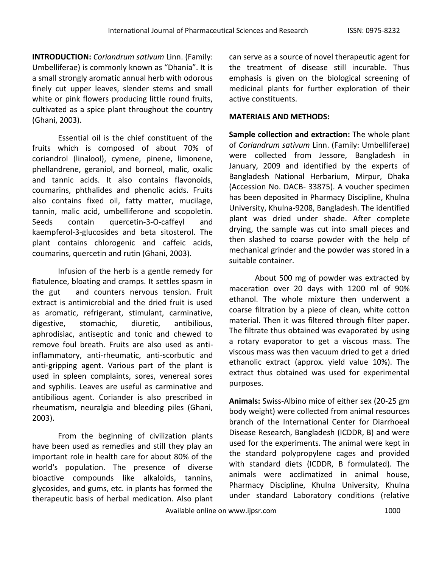**INTRODUCTION:** *Coriandrum sativum* Linn. (Family: Umbelliferae) is commonly known as "Dhania". It is a small strongly aromatic annual herb with odorous finely cut upper leaves, slender stems and small white or pink flowers producing little round fruits, cultivated as a spice plant throughout the country (Ghani, 2003).

Essential oil is the chief constituent of the fruits which is composed of about 70% of coriandrol (linalool), cymene, pinene, limonene, phellandrene, geraniol, and borneol, malic, oxalic and tannic acids. It also contains flavonoids, coumarins, phthalides and phenolic acids. Fruits also contains fixed oil, fatty matter, mucilage, tannin, malic acid, umbelliferone and scopoletin. Seeds contain quercetin-3-O-caffeyl and kaempferol-3-glucosides and beta sitosterol. The plant contains chlorogenic and caffeic acids, coumarins, quercetin and rutin (Ghani, 2003).

Infusion of the herb is a gentle remedy for flatulence, bloating and cramps. It settles spasm in the gut and counters nervous tension. Fruit extract is antimicrobial and the dried fruit is used as aromatic, refrigerant, stimulant, carminative, digestive, stomachic, diuretic, antibilious, aphrodisiac, antiseptic and tonic and chewed to remove foul breath. Fruits are also used as antiinflammatory, anti-rheumatic, anti-scorbutic and anti-gripping agent. Various part of the plant is used in spleen complaints, sores, venereal sores and syphilis. Leaves are useful as carminative and antibilious agent. Coriander is also prescribed in rheumatism, neuralgia and bleeding piles (Ghani, 2003).

From the beginning of civilization plants have been used as remedies and still they play an important role in health care for about 80% of the world's population. The presence of diverse bioactive compounds like alkaloids, tannins, glycosides, and gums, etc. in plants has formed the therapeutic basis of herbal medication. Also plant

can serve as a source of novel therapeutic agent for the treatment of disease still incurable. Thus emphasis is given on the biological screening of medicinal plants for further exploration of their active constituents.

# **MATERIALS AND METHODS:**

**Sample collection and extraction:** The whole plant of *Coriandrum sativum* Linn. (Family: Umbelliferae) were collected from Jessore, Bangladesh in January, 2009 and identified by the experts of Bangladesh National Herbarium, Mirpur, Dhaka (Accession No. DACB- 33875). A voucher specimen has been deposited in Pharmacy Discipline, Khulna University, Khulna-9208, Bangladesh. The identified plant was dried under shade. After complete drying, the sample was cut into small pieces and then slashed to coarse powder with the help of mechanical grinder and the powder was stored in a suitable container.

About 500 mg of powder was extracted by maceration over 20 days with 1200 ml of 90% ethanol. The whole mixture then underwent a coarse filtration by a piece of clean, white cotton material. Then it was filtered through filter paper. The filtrate thus obtained was evaporated by using a rotary evaporator to get a viscous mass. The viscous mass was then vacuum dried to get a dried ethanolic extract (approx. yield value 10%). The extract thus obtained was used for experimental purposes.

**Animals:** Swiss-Albino mice of either sex (20-25 gm body weight) were collected from animal resources branch of the International Center for Diarrhoeal Disease Research, Bangladesh (ICDDR, B) and were used for the experiments. The animal were kept in the standard polypropylene cages and provided with standard diets (ICDDR, B formulated). The animals were acclimatized in animal house, Pharmacy Discipline, Khulna University, Khulna under standard Laboratory conditions (relative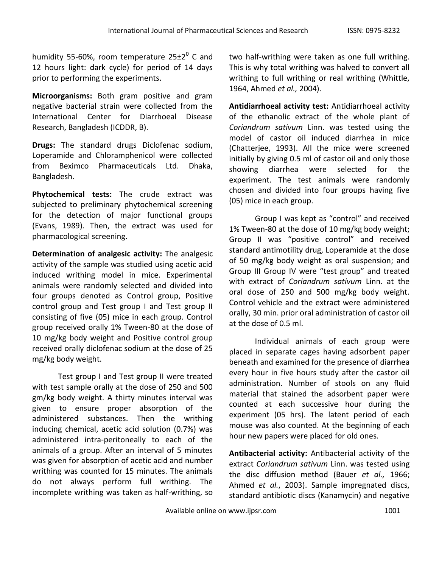humidity 55-60%, room temperature 25 $\pm 2^0$  C and 12 hours light: dark cycle) for period of 14 days prior to performing the experiments.

**Microorganisms:** Both gram positive and gram negative bacterial strain were collected from the International Center for Diarrhoeal Disease Research, Bangladesh (ICDDR, B).

**Drugs:** The standard drugs Diclofenac sodium, Loperamide and Chloramphenicol were collected from Beximco Pharmaceuticals Ltd. Dhaka, Bangladesh.

**Phytochemical tests:** The crude extract was subjected to preliminary phytochemical screening for the detection of major functional groups (Evans, 1989). Then, the extract was used for pharmacological screening.

**Determination of analgesic activity:** The analgesic activity of the sample was studied using acetic acid induced writhing model in mice. Experimental animals were randomly selected and divided into four groups denoted as Control group, Positive control group and Test group I and Test group II consisting of five (05) mice in each group. Control group received orally 1% Tween-80 at the dose of 10 mg/kg body weight and Positive control group received orally diclofenac sodium at the dose of 25 mg/kg body weight.

Test group I and Test group II were treated with test sample orally at the dose of 250 and 500 gm/kg body weight. A thirty minutes interval was given to ensure proper absorption of the administered substances. Then the writhing inducing chemical, acetic acid solution (0.7%) was administered intra-peritoneally to each of the animals of a group. After an interval of 5 minutes was given for absorption of acetic acid and number writhing was counted for 15 minutes. The animals do not always perform full writhing. The incomplete writhing was taken as half-writhing, so two half-writhing were taken as one full writhing. This is why total writhing was halved to convert all writhing to full writhing or real writhing (Whittle, 1964, Ahmed *et al.,* 2004).

**Antidiarrhoeal activity test:** Antidiarrhoeal activity of the ethanolic extract of the whole plant of *Coriandrum sativum* Linn. was tested using the model of castor oil induced diarrhea in mice (Chatterjee, 1993). All the mice were screened initially by giving 0.5 ml of castor oil and only those showing diarrhea were selected for the experiment. The test animals were randomly chosen and divided into four groups having five (05) mice in each group.

Group I was kept as "control" and received 1% Tween-80 at the dose of 10 mg/kg body weight; Group II was "positive control" and received standard antimotility drug, Loperamide at the dose of 50 mg/kg body weight as oral suspension; and Group III Group IV were "test group" and treated with extract of *Coriandrum sativum* Linn. at the oral dose of 250 and 500 mg/kg body weight. Control vehicle and the extract were administered orally, 30 min. prior oral administration of castor oil at the dose of 0.5 ml.

Individual animals of each group were placed in separate cages having adsorbent paper beneath and examined for the presence of diarrhea every hour in five hours study after the castor oil administration. Number of stools on any fluid material that stained the adsorbent paper were counted at each successive hour during the experiment (05 hrs). The latent period of each mouse was also counted. At the beginning of each hour new papers were placed for old ones.

**Antibacterial activity:** Antibacterial activity of the extract *Coriandrum sativum* Linn. was tested using the disc diffusion method (Bauer *et al.,* 1966; Ahmed *et al.*, 2003). Sample impregnated discs, standard antibiotic discs (Kanamycin) and negative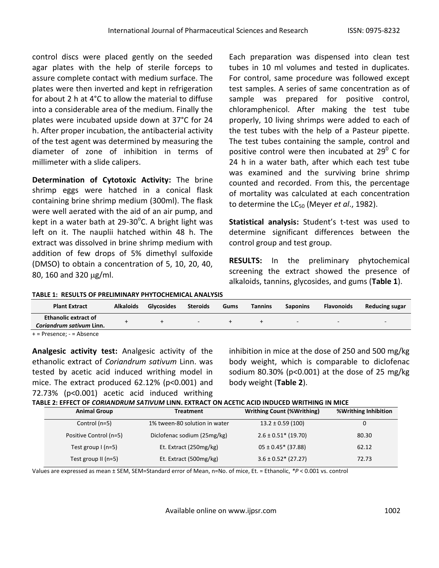control discs were placed gently on the seeded agar plates with the help of sterile forceps to assure complete contact with medium surface. The plates were then inverted and kept in refrigeration for about 2 h at 4°C to allow the material to diffuse into a considerable area of the medium. Finally the plates were incubated upside down at 37°C for 24 h. After proper incubation, the antibacterial activity of the test agent was determined by measuring the diameter of zone of inhibition in terms of millimeter with a slide calipers.

**Determination of Cytotoxic Activity:** The brine shrimp eggs were hatched in a conical flask containing brine shrimp medium (300ml). The flask were well aerated with the aid of an air pump, and kept in a water bath at 29-30 $^{\circ}$ C. A bright light was left on it. The nauplii hatched within 48 h. The extract was dissolved in brine shrimp medium with addition of few drops of 5% dimethyl sulfoxide (DMSO) to obtain a concentration of 5, 10, 20, 40, 80, 160 and 320  $\mu$ g/ml.

Each preparation was dispensed into clean test tubes in 10 ml volumes and tested in duplicates. For control, same procedure was followed except test samples. A series of same concentration as of sample was prepared for positive control, chloramphenicol. After making the test tube properly, 10 living shrimps were added to each of the test tubes with the help of a Pasteur pipette. The test tubes containing the sample, control and positive control were then incubated at 29 $^0$  C for 24 h in a water bath, after which each test tube was examined and the surviving brine shrimp counted and recorded. From this, the percentage of mortality was calculated at each concentration to determine the LC<sub>50</sub> (Meyer *et al.*, 1982).

**Statistical analysis:** Student's t-test was used to determine significant differences between the control group and test group.

**RESULTS:** In the preliminary phytochemical screening the extract showed the presence of alkaloids, tannins, glycosides, and gums (**Table 1**).

**TABLE 1: RESULTS OF PRELIMINARY PHYTOCHEMICAL ANALYSIS**

| <b>Plant Extract</b>                                    | <b>Alkaloids</b> | <b>Glycosides</b> | Steroids | Gums | <b>Tannins</b> | <b>Saponins</b> | <b>Flavonoids</b> | Reducing sugar |
|---------------------------------------------------------|------------------|-------------------|----------|------|----------------|-----------------|-------------------|----------------|
| <b>Ethanolic extract of</b><br>Coriandrum sativum Linn. |                  |                   |          |      |                | $\sim$          | -                 | $\sim$         |
| $+=$ Presence; $-$ = Absence                            |                  |                   |          |      |                |                 |                   |                |

**Analgesic activity test:** Analgesic activity of the ethanolic extract of *Coriandrum sativum* Linn. was tested by acetic acid induced writhing model in mice. The extract produced 62.12% (p<0.001) and 72.73% (p<0.001) acetic acid induced writhing

inhibition in mice at the dose of 250 and 500 mg/kg body weight, which is comparable to diclofenac sodium 80.30% (p<0.001) at the dose of 25 mg/kg body weight (**Table 2**).

| <b>Animal Group</b>    | TABLE 2: EFFECT OF CORIANDRUM SATIVUM LINN. EXTRACT ON ACETIC ACID INDUCED WRITHING IN MICE<br><b>Treatment</b> | <b>Writhing Count (%Writhing)</b> | <b>%Writhing Inhibition</b> |
|------------------------|-----------------------------------------------------------------------------------------------------------------|-----------------------------------|-----------------------------|
| Control (n=5)          | 1% tween-80 solution in water                                                                                   | $13.2 \pm 0.59$ (100)             | 0                           |
| Positive Control (n=5) | Diclofenac sodium (25mg/kg)                                                                                     | $2.6 \pm 0.51$ * (19.70)          | 80.30                       |
| Test group $I(n=5)$    | Et. Extract (250mg/kg)                                                                                          | $05 \pm 0.45$ * (37.88)           | 62.12                       |
| Test group $II(n=5)$   | Et. Extract (500mg/kg)                                                                                          | $3.6 \pm 0.52$ (27.27)            | 72.73                       |

Values are expressed as mean ± SEM, SEM=Standard error of Mean, n=No. of mice, Et. = Ethanolic, *\*P* < 0.001 vs. control

Available online on www.ijpsr.com 1002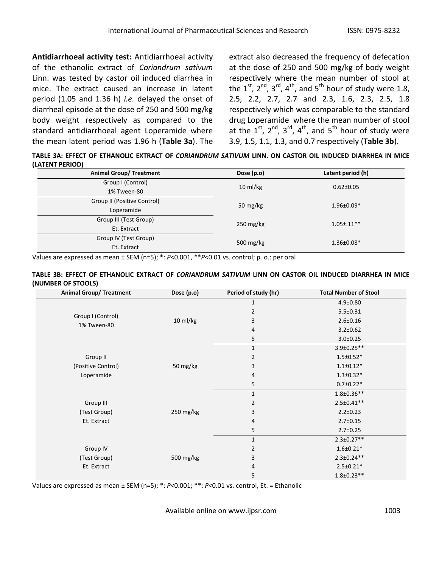**Antidiarrhoeal activity test:** Antidiarrhoeal activity of the ethanolic extract of *Coriandrum sativum* Linn. was tested by castor oil induced diarrhea in mice. The extract caused an increase in latent period (1.05 and 1.36 h) *i.e.* delayed the onset of diarrheal episode at the dose of 250 and 500 mg/kg body weight respectively as compared to the standard antidiarrhoeal agent Loperamide where the mean latent period was 1.96 h (**Table 3a**). The

extract also decreased the frequency of defecation at the dose of 250 and 500 mg/kg of body weight respectively where the mean number of stool at the  $1^{st}$ ,  $2^{nd}$ ,  $3^{rd}$ ,  $4^{th}$ , and  $5^{th}$  hour of study were 1.8, 2.5, 2.2, 2.7, 2.7 and 2.3, 1.6, 2.3, 2.5, 1.8 respectively which was comparable to the standard drug Loperamide where the mean number of stool at the  $1^{st}$ ,  $2^{nd}$ ,  $3^{rd}$ ,  $4^{th}$ , and  $5^{th}$  hour of study were 3.9, 1.5, 1.1, 1.3, and 0.7 respectively (**Table 3b**).

**TABLE 3A: EFFECT OF ETHANOLIC EXTRACT OF** *CORIANDRUM SATIVUM* **LINN. ON CASTOR OIL INDUCED DIARRHEA IN MICE (LATENT PERIOD)**

| <b>Animal Group/ Treatment</b> | Dose (p.o)          | Latent period (h) |  |
|--------------------------------|---------------------|-------------------|--|
| Group I (Control)              | $10 \text{ ml/kg}$  | $0.62 \pm 0.05$   |  |
| 1% Tween-80                    |                     |                   |  |
| Group II (Positive Control)    | 50 mg/ $kg$         | $1.96 \pm 0.09*$  |  |
| Loperamide                     |                     |                   |  |
| Group III (Test Group)         | $250 \text{ mg/kg}$ | $1.05 \pm .11$ ** |  |
| Et. Extract                    |                     |                   |  |
| Group IV (Test Group)          | 500 $mg/kg$         | $1.36 \pm 0.08*$  |  |
| Et. Extract                    |                     |                   |  |

Values are expressed as mean ± SEM (n=5); \*: *P*<0.001, \*\**P*<0.01 vs. control; p. o.: per oral

| TABLE 3B: EFFECT OF ETHANOLIC EXTRACT OF <i>CORIANDRUM SATIVUM</i> LINN ON CASTOR OIL INDUCED DIARRHEA IN MICE |  |  |  |  |  |
|----------------------------------------------------------------------------------------------------------------|--|--|--|--|--|
| (NUMBER OF STOOLS)                                                                                             |  |  |  |  |  |

| <b>Animal Group/ Treatment</b> | Dose (p.o) | Period of study (hr) | <b>Total Number of Stool</b> |
|--------------------------------|------------|----------------------|------------------------------|
|                                |            | 1                    | $4.9 \pm 0.80$               |
| Group I (Control)              |            | 2                    | $5.5 \pm 0.31$               |
| 1% Tween-80                    | 10 ml/kg   | 3                    | $2.6 \pm 0.16$               |
|                                |            | 4                    | $3.2 \pm 0.62$               |
|                                |            | 5                    | $3.0 \pm 0.25$               |
|                                |            | $\mathbf{1}$         | $3.9 \pm 0.25**$             |
| Group II                       |            | 2                    | $1.5 \pm 0.52*$              |
| (Positive Control)             | 50 mg/kg   | 3                    | $1.1 \pm 0.12*$              |
| Loperamide                     |            | 4                    | $1.3 \pm 0.32*$              |
|                                |            | 5                    | $0.7 \pm 0.22*$              |
|                                |            | 1                    | $1.8 \pm 0.36**$             |
| Group III                      |            | 2                    | $2.5 \pm 0.41**$             |
| (Test Group)                   | 250 mg/kg  | 3                    | $2.2 \pm 0.23$               |
| Et. Extract                    |            | 4                    | $2.7 \pm 0.15$               |
|                                |            | 5                    | $2.7 \pm 0.25$               |
|                                |            | 1                    | $2.3 \pm 0.27**$             |
| Group IV                       |            | 2                    | $1.6 \pm 0.21*$              |
| (Test Group)                   | 500 mg/kg  | 3                    | $2.3 \pm 0.24**$             |
| Et. Extract                    |            | 4                    | $2.5 \pm 0.21*$              |
|                                |            | 5                    | $1.8 \pm 0.23**$             |

Values are expressed as mean ± SEM (n=5); \*: *P*<0.001; \*\*: *P*<0.01 vs. control, Et. = Ethanolic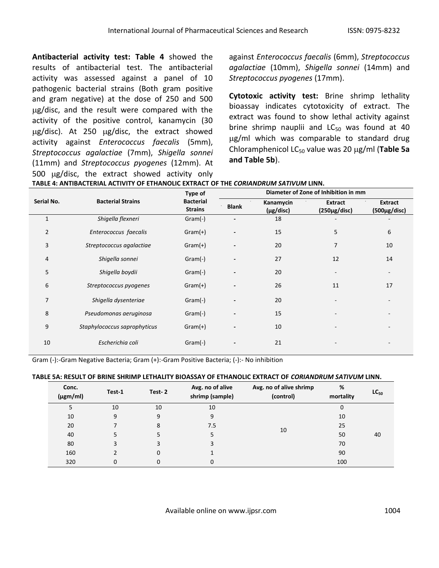**Antibacterial activity test: Table 4** showed the results of antibacterial test. The antibacterial activity was assessed against a panel of 10 pathogenic bacterial strains (Both gram positive and gram negative) at the dose of 250 and 500 ug/disc, and the result were compared with the activity of the positive control, kanamycin (30  $\mu$ g/disc). At 250  $\mu$ g/disc, the extract showed activity against *Enterococcus faecalis* (5mm), *Streptococcus agalactiae* (7mm), *Shigella sonnei*  (11mm) and *Streptococcus pyogenes* (12mm). At 500  $\mu$ g/disc, the extract showed activity only

against *Enterococcus faecalis* (6mm), *Streptococcus agalactiae* (10mm), *Shigella sonnei* (14mm) and *Streptococcus pyogenes* (17mm).

**Cytotoxic activity test:** Brine shrimp lethality bioassay indicates cytotoxicity of extract. The extract was found to show lethal activity against brine shrimp nauplii and  $LC_{50}$  was found at 40 ug/ml which was comparable to standard drug Chloramphenicol LC<sub>50</sub> value was 20 μg/ml (**Table 5a and Table 5b**).

|                |                              |                                    | Diameter of Zone of Inhibition in mm |                        |                                      |                                      |  |
|----------------|------------------------------|------------------------------------|--------------------------------------|------------------------|--------------------------------------|--------------------------------------|--|
| Serial No.     | <b>Bacterial Strains</b>     | <b>Bacterial</b><br><b>Strains</b> | <b>Blank</b>                         | Kanamycin<br>(µg/disc) | <b>Extract</b><br>$(250 \mu g/disc)$ | <b>Extract</b><br>$(500 \mu g/disc)$ |  |
| $\mathbf{1}$   | Shigella flexneri            | $Gram(-)$                          |                                      | 18                     |                                      |                                      |  |
| $\overline{2}$ | Enterococcus faecalis        | $Gram(+)$                          |                                      | 15                     | 5                                    | 6                                    |  |
| 3              | Streptococcus agalactiae     | $Gram(+)$                          |                                      | 20                     | 7                                    | 10                                   |  |
| 4              | Shigella sonnei              | $Gram(-)$                          |                                      | 27                     | 12                                   | 14                                   |  |
| 5              | Shigella boydii              | $Gram(-)$                          |                                      | 20                     |                                      |                                      |  |
| 6              | Streptococcus pyogenes       | $Gram(+)$                          |                                      | 26                     | 11                                   | 17                                   |  |
| 7              | Shigella dysenteriae         | $Gram(-)$                          |                                      | 20                     |                                      |                                      |  |
| 8              | Pseudomonas aeruginosa       | $Gram(-)$                          |                                      | 15                     |                                      |                                      |  |
| 9              | Staphylococcus saprophyticus | $Gram(+)$                          |                                      | 10                     |                                      |                                      |  |
| 10             | Escherichia coli             | $Gram(-)$                          |                                      | 21                     |                                      |                                      |  |

|  | TABLE 4: ANTIBACTERIAL ACTIVITY OF ETHANOLIC EXTRACT OF THE CORIANDRUM SATIVUM LINN. |
|--|--------------------------------------------------------------------------------------|
|  |                                                                                      |

Gram (-):-Gram Negative Bacteria; Gram (+):-Gram Positive Bacteria; (-):- No inhibition

## **TABLE 5A: RESULT OF BRINE SHRIMP LETHALITY BIOASSAY OF ETHANOLIC EXTRACT OF** *CORIANDRUM SATIVUM* **LINN.**

| Conc.<br>$(\mu$ gm/ml) | Test-1 | Test-2   | Avg. no of alive<br>shrimp (sample) | Avg. no of alive shrimp<br>(control) | %<br>mortality | $LC_{50}$ |
|------------------------|--------|----------|-------------------------------------|--------------------------------------|----------------|-----------|
| 5                      | 10     | 10       | 10                                  |                                      | 0              |           |
| 10                     | 9      | 9        | 9                                   |                                      | 10             |           |
| 20                     |        | 8        | 7.5                                 | 10                                   | 25             |           |
| 40                     |        |          |                                     |                                      | 50             | 40        |
| 80                     |        |          | 3                                   |                                      | 70             |           |
| 160                    |        | $\Omega$ |                                     |                                      | 90             |           |
| 320                    | 0      | 0        | 0                                   |                                      | 100            |           |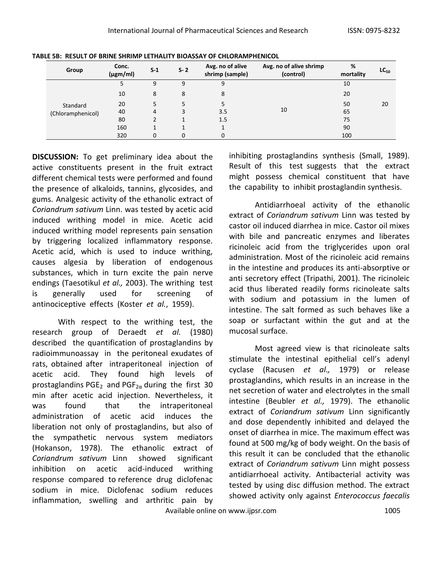| Group             | Conc.<br>$(\mu g m/ml)$ | $S-1$ | $S - 2$ | Avg. no of alive<br>shrimp (sample) | Avg. no of alive shrimp<br>(control) | %<br>mortality | $LC_{50}$ |
|-------------------|-------------------------|-------|---------|-------------------------------------|--------------------------------------|----------------|-----------|
|                   |                         | 9     | 9       | 9                                   |                                      | 10             |           |
|                   | 10                      | 8     | 8       | 8                                   |                                      | 20             |           |
| Standard          | 20                      | 5.    | 5.      |                                     |                                      | 50             | 20        |
| (Chloramphenicol) | 40                      | 4     | 3       | 3.5                                 | 10                                   | 65             |           |
|                   | 80                      |       |         | 1.5                                 |                                      | 75             |           |
|                   | 160                     |       |         |                                     |                                      | 90             |           |
|                   | 320                     | 0     | 0       | $\mathbf 0$                         |                                      | 100            |           |

|  |  |  |  | TABLE 5B: RESULT OF BRINE SHRIMP LETHALITY BIOASSAY OF CHLORAMPHENICOL |
|--|--|--|--|------------------------------------------------------------------------|
|--|--|--|--|------------------------------------------------------------------------|

**DISCUSSION:** To get preliminary idea about the active constituents present in the fruit extract different chemical tests were performed and found the presence of alkaloids, tannins, glycosides, and gums. Analgesic activity of the ethanolic extract of *Coriandrum sativum* Linn. was tested by acetic acid induced writhing model in mice. Acetic acid induced writhing model represents pain sensation by triggering localized inflammatory response. Acetic acid, which is used to induce writhing, causes algesia by liberation of endogenous substances, which in turn excite the pain nerve endings (Taesotikul *et al.,* 2003). The writhing test is generally used for screening of antinociceptive effects (Koster *et al.*, 1959).

With respect to the writhing test, the research group of Deraedt *et al.* (1980) described the quantification of prostaglandins by radioimmunoassay in the peritoneal exudates of rats, obtained after intraperitoneal injection of acetic acid. They found high levels of prostaglandins PGE<sub>2</sub> and PGF<sub>2 $\alpha$ </sub> during the first 30 min after acetic acid injection. Nevertheless, it was found that the intraperitoneal administration of acetic acid induces the liberation not only of prostaglandins, but also of the sympathetic nervous system mediators (Hokanson, 1978). The ethanolic extract of *Coriandrum sativum* Linnshowed significant inhibition on acetic acid-induced writhing response compared to reference drug diclofenac sodium in mice. Diclofenac sodium reduces inflammation, swelling and arthritic pain by inhibiting prostaglandins synthesis (Small, 1989). Result of this test suggests that the extract might possess chemical constituent that have the capability to inhibit prostaglandin synthesis.

Antidiarrhoeal activity of the ethanolic extract of *Coriandrum sativum* Linn was tested by castor oil induced diarrhea in mice. Castor oil mixes with bile and pancreatic enzymes and liberates ricinoleic acid from the triglycerides upon oral administration. Most of the ricinoleic acid remains in the intestine and produces its anti-absorptive or anti secretory effect (Tripathi, 2001). The ricinoleic acid thus liberated readily forms ricinoleate salts with sodium and potassium in the lumen of intestine. The salt formed as such behaves like a soap or surfactant within the gut and at the mucosal surface.

Most agreed view is that ricinoleate salts stimulate the intestinal epithelial cell's adenyl cyclase (Racusen *et al.,* 1979) or release prostaglandins, which results in an increase in the net secretion of water and electrolytes in the small intestine (Beubler *et al.,* 1979). The ethanolic extract of *Coriandrum sativum* Linn significantly and dose dependently inhibited and delayed the onset of diarrhea in mice. The maximum effect was found at 500 mg/kg of body weight. On the basis of this result it can be concluded that the ethanolic extract of *Coriandrum sativum* Linn might possess antidiarrhoeal activity. Antibacterial activity was tested by using disc diffusion method. The extract showed activity only against *Enterococcus faecalis*